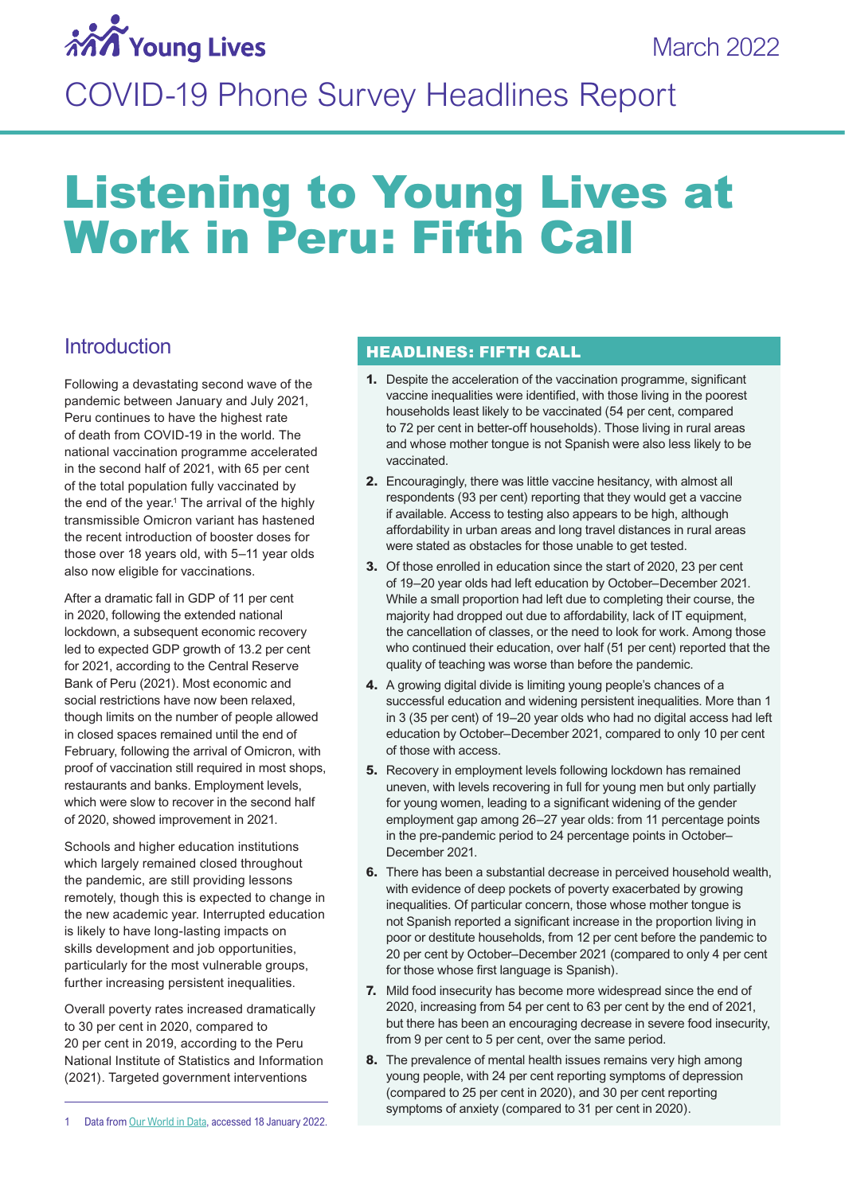

## COVID-19 Phone Survey Headlines Report

# Listening to Young Lives at Work in Peru: Fifth Call

## **Introduction**

Following a devastating second wave of the pandemic between January and July 2021, Peru continues to have the highest rate of death from COVID-19 in the world. The national vaccination programme accelerated in the second half of 2021, with 65 per cent of the total population fully vaccinated by the end of the year.<sup>1</sup> The arrival of the highly transmissible Omicron variant has hastened the recent introduction of booster doses for those over 18 years old, with 5–11 year olds also now eligible for vaccinations.

After a dramatic fall in GDP of 11 per cent in 2020, following the extended national lockdown, a subsequent economic recovery led to expected GDP growth of 13.2 per cent for 2021, according to the Central Reserve Bank of Peru (2021). Most economic and social restrictions have now been relaxed, though limits on the number of people allowed in closed spaces remained until the end of February, following the arrival of Omicron, with proof of vaccination still required in most shops, restaurants and banks. Employment levels, which were slow to recover in the second half of 2020, showed improvement in 2021.

Schools and higher education institutions which largely remained closed throughout the pandemic, are still providing lessons remotely, though this is expected to change in the new academic year. Interrupted education is likely to have long-lasting impacts on skills development and job opportunities, particularly for the most vulnerable groups, further increasing persistent inequalities.

Overall poverty rates increased dramatically to 30 per cent in 2020, compared to 20 per cent in 2019, according to the Peru National Institute of Statistics and Information (2021). Targeted government interventions

#### HEADLINES: FIFTH CALL

- **1.** Despite the acceleration of the vaccination programme, significant vaccine inequalities were identified, with those living in the poorest households least likely to be vaccinated (54 per cent, compared to 72 per cent in better-off households). Those living in rural areas and whose mother tongue is not Spanish were also less likely to be vaccinated.
- **2.** Encouragingly, there was little vaccine hesitancy, with almost all respondents (93 per cent) reporting that they would get a vaccine if available. Access to testing also appears to be high, although affordability in urban areas and long travel distances in rural areas were stated as obstacles for those unable to get tested.
- **3.** Of those enrolled in education since the start of 2020, 23 per cent of 19–20 year olds had left education by October–December 2021. While a small proportion had left due to completing their course, the majority had dropped out due to affordability, lack of IT equipment, the cancellation of classes, or the need to look for work. Among those who continued their education, over half (51 per cent) reported that the quality of teaching was worse than before the pandemic.
- **4.** A growing digital divide is limiting young people's chances of a successful education and widening persistent inequalities. More than 1 in 3 (35 per cent) of 19–20 year olds who had no digital access had left education by October–December 2021, compared to only 10 per cent of those with access.
- **5.** Recovery in employment levels following lockdown has remained uneven, with levels recovering in full for young men but only partially for young women, leading to a significant widening of the gender employment gap among 26–27 year olds: from 11 percentage points in the pre-pandemic period to 24 percentage points in October– December 2021.
- **6.** There has been a substantial decrease in perceived household wealth, with evidence of deep pockets of poverty exacerbated by growing inequalities. Of particular concern, those whose mother tongue is not Spanish reported a significant increase in the proportion living in poor or destitute households, from 12 per cent before the pandemic to 20 per cent by October–December 2021 (compared to only 4 per cent for those whose first language is Spanish).
- **7.** Mild food insecurity has become more widespread since the end of 2020, increasing from 54 per cent to 63 per cent by the end of 2021, but there has been an encouraging decrease in severe food insecurity, from 9 per cent to 5 per cent, over the same period.
- **8.** The prevalence of mental health issues remains very high among young people, with 24 per cent reporting symptoms of depression (compared to 25 per cent in 2020), and 30 per cent reporting symptoms of anxiety (compared to 31 per cent in 2020).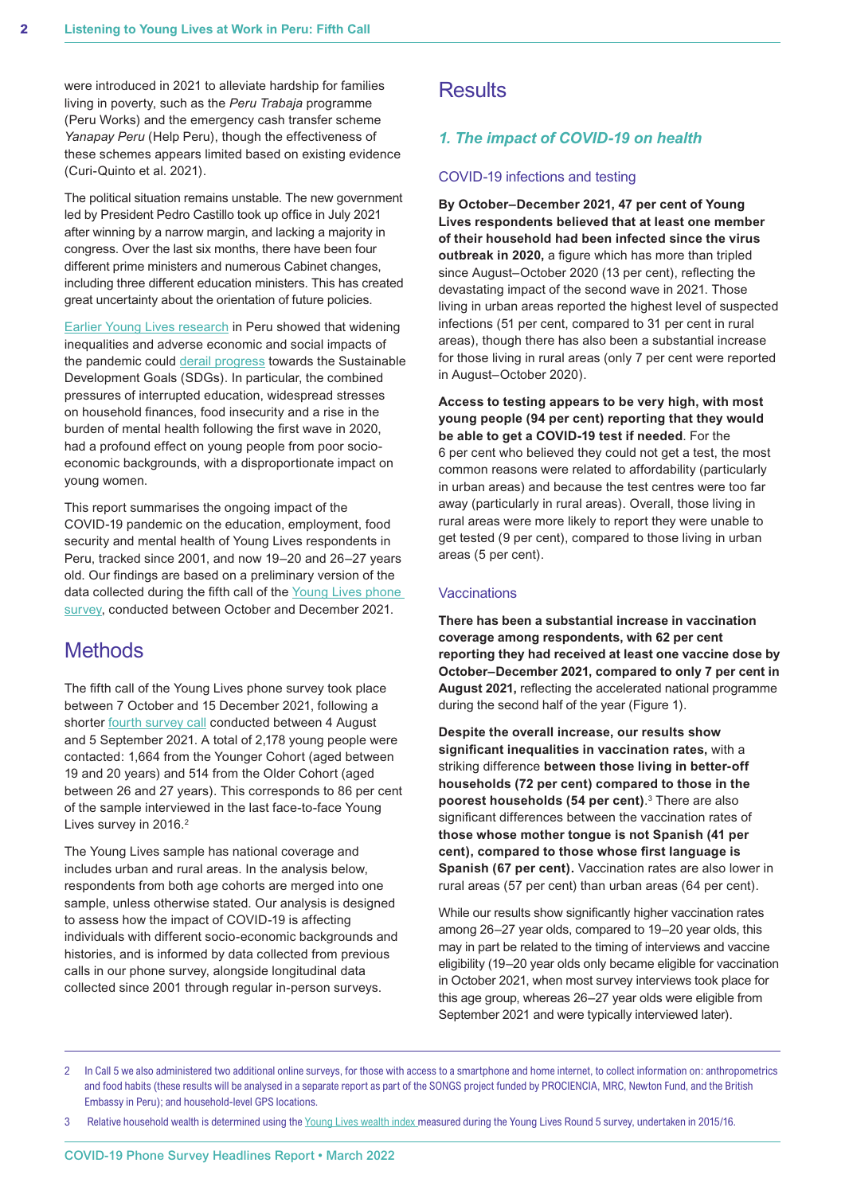were introduced in 2021 to alleviate hardship for families living in poverty, such as the *Peru Trabaja* programme (Peru Works) and the emergency cash transfer scheme *Yanapay Peru* (Help Peru), though the effectiveness of these schemes appears limited based on existing evidence (Curi-Quinto et al. 2021).

The political situation remains unstable. The new government led by President Pedro Castillo took up office in July 2021 after winning by a narrow margin, and lacking a majority in congress. Over the last six months, there have been four different prime ministers and numerous Cabinet changes, including three different education ministers. This has created great uncertainty about the orientation of future policies.

**[Earlier Young Lives research](https://www.younglives.org.uk/sites/default/files/migrated/YL-PolicyBrief-50-Jul21.pdf) in Peru showed that widening** inequalities and adverse economic and social impacts of the pandemic could [derail progress](https://www.younglives.org.uk/news/covid-19-derailing-progress-towards-sustainable-development-goals-sdgs-targeted-action) towards the Sustainable Development Goals (SDGs). In particular, the combined pressures of interrupted education, widespread stresses on household finances, food insecurity and a rise in the burden of mental health following the first wave in 2020, had a profound effect on young people from poor socioeconomic backgrounds, with a disproportionate impact on young women.

This report summarises the ongoing impact of the COVID-19 pandemic on the education, employment, food security and mental health of Young Lives respondents in Peru, tracked since 2001, and now 19–20 and 26–27 years old. Our findings are based on a preliminary version of the data collected during the fifth call of the Young Lives phone [survey,](https://www.younglives.org.uk/research-project/young-lives-work) conducted between October and December 2021.

## **Methods**

The fifth call of the Young Lives phone survey took place between 7 October and 15 December 2021, following a shorter [fourth survey call](https://www.younglives.org.uk/news/pandemic-inequalities-persist-diverging-experiences-young-people-ethiopia-india-peru-and) conducted between 4 August and 5 September 2021. A total of 2,178 young people were contacted: 1,664 from the Younger Cohort (aged between 19 and 20 years) and 514 from the Older Cohort (aged between 26 and 27 years). This corresponds to 86 per cent of the sample interviewed in the last face-to-face Young Lives survey in 2016.<sup>2</sup>

The Young Lives sample has national coverage and includes urban and rural areas. In the analysis below, respondents from both age cohorts are merged into one sample, unless otherwise stated. Our analysis is designed to assess how the impact of COVID-19 is affecting individuals with different socio-economic backgrounds and histories, and is informed by data collected from previous calls in our phone survey, alongside longitudinal data collected since 2001 through regular in-person surveys.

## **Results**

#### *1. The impact of COVID-19 on health*

#### COVID-19 infections and testing

**By October–December 2021, 47 per cent of Young Lives respondents believed that at least one member of their household had been infected since the virus outbreak in 2020,** a figure which has more than tripled since August–October 2020 (13 per cent), reflecting the devastating impact of the second wave in 2021. Those living in urban areas reported the highest level of suspected infections (51 per cent, compared to 31 per cent in rural areas), though there has also been a substantial increase for those living in rural areas (only 7 per cent were reported in August–October 2020).

**Access to testing appears to be very high, with most young people (94 per cent) reporting that they would be able to get a COVID-19 test if needed**. For the 6 per cent who believed they could not get a test, the most common reasons were related to affordability (particularly in urban areas) and because the test centres were too far away (particularly in rural areas). Overall, those living in rural areas were more likely to report they were unable to get tested (9 per cent), compared to those living in urban areas (5 per cent).

#### Vaccinations

**There has been a substantial increase in vaccination coverage among respondents, with 62 per cent reporting they had received at least one vaccine dose by October–December 2021, compared to only 7 per cent in August 2021,** reflecting the accelerated national programme during the second half of the year (Figure 1).

**Despite the overall increase, our results show significant inequalities in vaccination rates,** with a striking difference **between those living in better-off households (72 per cent) compared to those in the poorest households (54 per cent)**. <sup>3</sup> There are also significant differences between the vaccination rates of **those whose mother tongue is not Spanish (41 per cent), compared to those whose first language is Spanish (67 per cent).** Vaccination rates are also lower in rural areas (57 per cent) than urban areas (64 per cent).

While our results show significantly higher vaccination rates among 26–27 year olds, compared to 19–20 year olds, this may in part be related to the timing of interviews and vaccine eligibility (19–20 year olds only became eligible for vaccination in October 2021, when most survey interviews took place for this age group, whereas 26–27 year olds were eligible from September 2021 and were typically interviewed later).

Relative household wealth is determined using the [Young Lives wealth index](https://assets.publishing.service.gov.uk/media/5acb49bce5274a7f20e712c1/YL-TN43_0.pdf) measured during the Young Lives Round 5 survey, undertaken in 2015/16.

<sup>2</sup> In Call 5 we also administered two additional online surveys, for those with access to a smartphone and home internet, to collect information on: anthropometrics and food habits (these results will be analysed in a separate report as part of the SONGS project funded by PROCIENCIA, MRC, Newton Fund, and the British Embassy in Peru); and household-level GPS locations.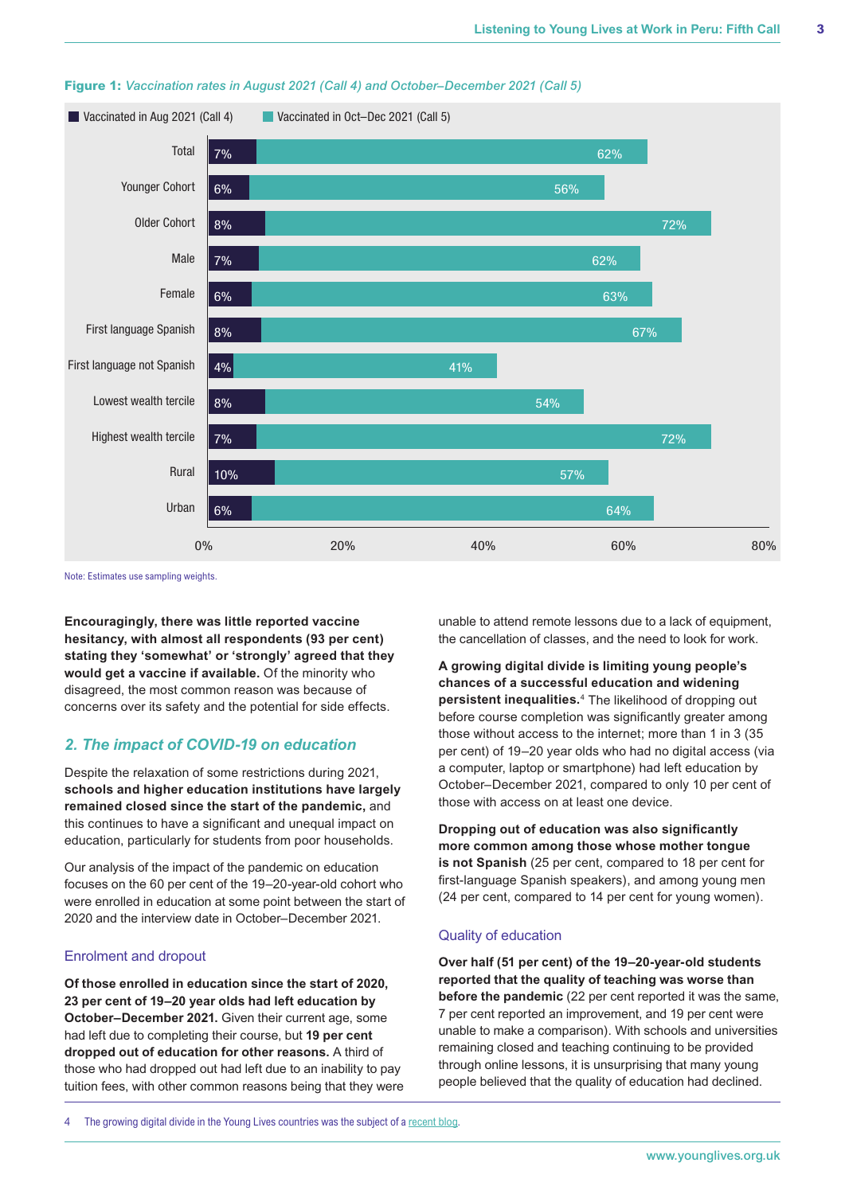

#### **Figure 1:** *Vaccination rates in August 2021 (Call 4) and October–December 2021 (Call 5)*

Note: Estimates use sampling weights.

**Encouragingly, there was little reported vaccine hesitancy, with almost all respondents (93 per cent) stating they 'somewhat' or 'strongly' agreed that they would get a vaccine if available.** Of the minority who disagreed, the most common reason was because of concerns over its safety and the potential for side effects.

#### *2. The impact of COVID-19 on education*

Despite the relaxation of some restrictions during 2021, **schools and higher education institutions have largely remained closed since the start of the pandemic,** and this continues to have a significant and unequal impact on education, particularly for students from poor households.

Our analysis of the impact of the pandemic on education focuses on the 60 per cent of the 19–20-year-old cohort who were enrolled in education at some point between the start of 2020 and the interview date in October–December 2021.

#### Enrolment and dropout

**Of those enrolled in education since the start of 2020, 23 per cent of 19–20 year olds had left education by October–December 2021.** Given their current age, some had left due to completing their course, but **19 per cent dropped out of education for other reasons.** A third of those who had dropped out had left due to an inability to pay tuition fees, with other common reasons being that they were

unable to attend remote lessons due to a lack of equipment, the cancellation of classes, and the need to look for work.

**A growing digital divide is limiting young people's chances of a successful education and widening persistent inequalities.**<sup>4</sup> The likelihood of dropping out before course completion was significantly greater among those without access to the internet; more than 1 in 3 (35 per cent) of 19–20 year olds who had no digital access (via a computer, laptop or smartphone) had left education by October–December 2021, compared to only 10 per cent of those with access on at least one device.

**Dropping out of education was also significantly more common among those whose mother tongue is not Spanish** (25 per cent, compared to 18 per cent for first-language Spanish speakers), and among young men (24 per cent, compared to 14 per cent for young women).

#### Quality of education

**Over half (51 per cent) of the 19–20-year-old students reported that the quality of teaching was worse than before the pandemic** (22 per cent reported it was the same, 7 per cent reported an improvement, and 19 per cent were unable to make a comparison). With schools and universities remaining closed and teaching continuing to be provided through online lessons, it is unsurprising that many young people believed that the quality of education had declined.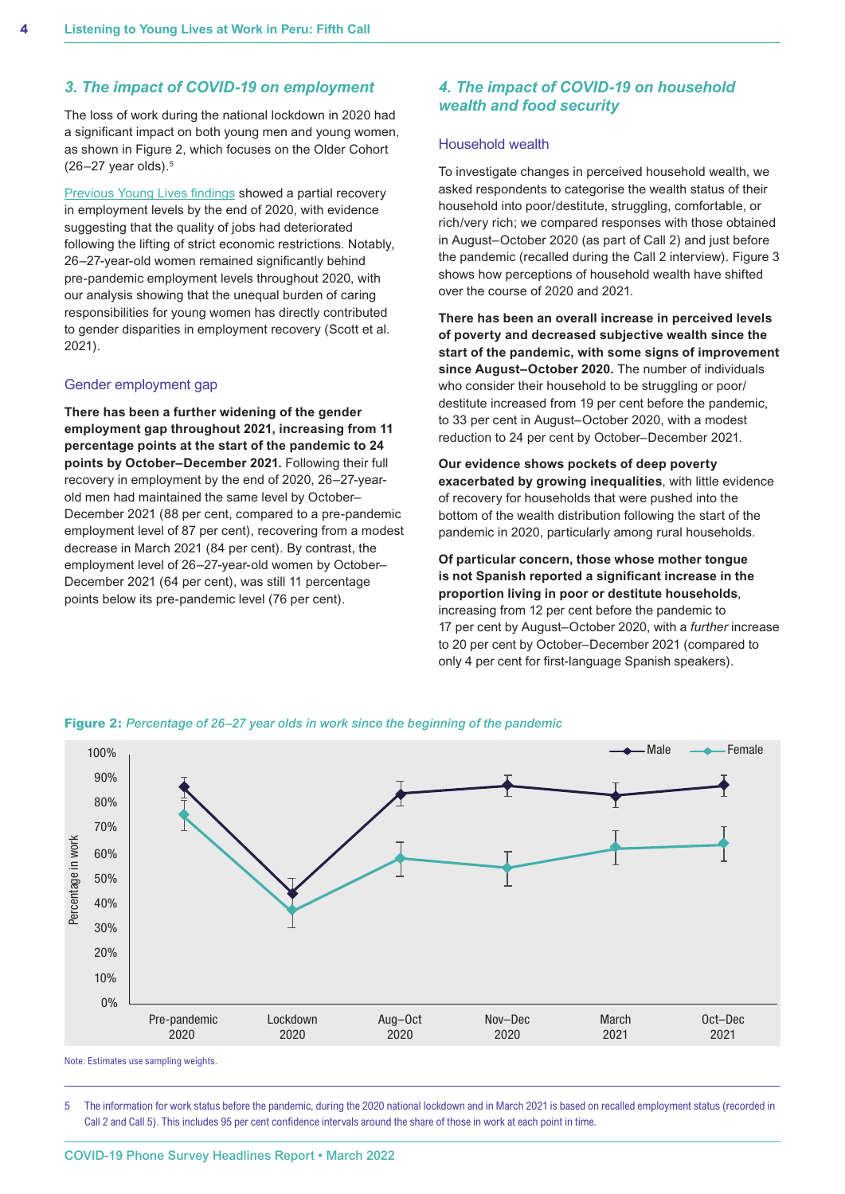#### *3. The impact of COVID-19 on employment*

The loss of work during the national lockdown in 2020 had a significant impact on both young men and young women, as shown in Figure 2, which focuses on the Older Cohort  $(26-27 \text{ year}$  olds).<sup>5</sup>

[Previous Young Lives findings](https://www.younglives.org.uk/sites/default/files/migrated/YOL-Peru-Headlines-PhoneSurvey3-Feb21-Final.pdf) showed a partial recovery in employment levels by the end of 2020, with evidence suggesting that the quality of jobs had deteriorated following the lifting of strict economic restrictions. Notably, 26–27-year-old women remained significantly behind pre-pandemic employment levels throughout 2020, with our analysis showing that the unequal burden of caring responsibilities for young women has directly contributed to gender disparities in employment recovery (Scott et al. 2021).

#### Gender employment gap

**There has been a further widening of the gender employment gap throughout 2021, increasing from 11 percentage points at the start of the pandemic to 24 points by October–December 2021.** Following their full recovery in employment by the end of 2020, 26–27-yearold men had maintained the same level by October– December 2021 (88 per cent, compared to a pre-pandemic employment level of 87 per cent), recovering from a modest decrease in March 2021 (84 per cent). By contrast, the employment level of 26–27-year-old women by October– December 2021 (64 per cent), was still 11 percentage points below its pre-pandemic level (76 per cent).

#### *4. The impact of COVID-19 on household wealth and food security*

#### Household wealth

To investigate changes in perceived household wealth, we asked respondents to categorise the wealth status of their household into poor/destitute, struggling, comfortable, or rich/very rich; we compared responses with those obtained in August–October 2020 (as part of Call 2) and just before the pandemic (recalled during the Call 2 interview). Figure 3 shows how perceptions of household wealth have shifted over the course of 2020 and 2021.

**There has been an overall increase in perceived levels of poverty and decreased subjective wealth since the start of the pandemic, with some signs of improvement since August–October 2020.** The number of individuals who consider their household to be struggling or poor/ destitute increased from 19 per cent before the pandemic, to 33 per cent in August–October 2020, with a modest reduction to 24 per cent by October–December 2021.

**Our evidence shows pockets of deep poverty exacerbated by growing inequalities**, with little evidence of recovery for households that were pushed into the bottom of the wealth distribution following the start of the pandemic in 2020, particularly among rural households.

**Of particular concern, those whose mother tongue is not Spanish reported a significant increase in the proportion living in poor or destitute households**, increasing from 12 per cent before the pandemic to 17 per cent by August–October 2020, with a *further* increase to 20 per cent by October–December 2021 (compared to only 4 per cent for first-language Spanish speakers).



**Figure 2:** *Percentage of 26–27 year olds in work since the beginning of the pandemic*

Note: Estimates use sampling weights.

5 The information for work status before the pandemic, during the 2020 national lockdown and in March 2021 is based on recalled employment status (recorded in Call 2 and Call 5). This includes 95 per cent confidence intervals around the share of those in work at each point in time.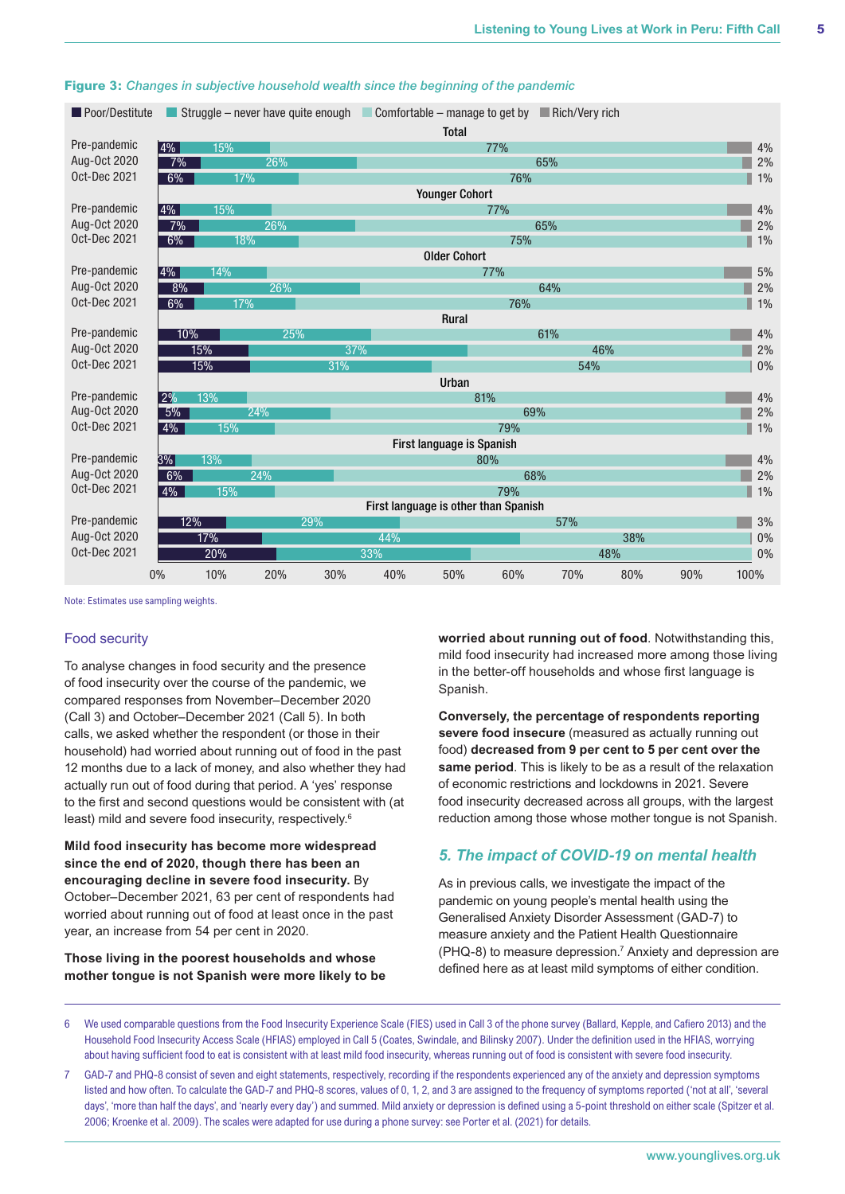| Poor/Destitute               |                                |                                                                | Struggle – never have quite enough |     |     | Comfortable – manage to get by |     | $\Box$ Rich/Very rich |     |          |          |  |
|------------------------------|--------------------------------|----------------------------------------------------------------|------------------------------------|-----|-----|--------------------------------|-----|-----------------------|-----|----------|----------|--|
|                              |                                |                                                                |                                    |     |     | <b>Total</b>                   |     |                       |     |          |          |  |
| Pre-pandemic                 | $ 4\% $                        | 15%                                                            |                                    |     |     |                                | 77% |                       |     |          | 4%       |  |
| Aug-Oct 2020                 | 7%<br>26%                      |                                                                |                                    | 65% |     |                                |     |                       |     | 2%       |          |  |
| Oct-Dec 2021                 | 6%<br>17%                      |                                                                |                                    |     | 76% |                                |     |                       |     |          | $1\%$    |  |
|                              |                                | <b>Younger Cohort</b>                                          |                                    |     |     |                                |     |                       |     |          |          |  |
| Pre-pandemic                 | $ 4\%$<br>15%                  |                                                                |                                    | 77% |     |                                |     |                       |     | 4%       |          |  |
| Aug-Oct 2020                 | 7%                             | 26%                                                            |                                    |     |     | 65%                            |     |                       |     |          |          |  |
| <b>Oct-Dec 2021</b>          |                                | 6%<br>18%                                                      |                                    |     |     | 75%                            |     |                       |     |          | $1\%$    |  |
|                              | <b>Older Cohort</b>            |                                                                |                                    |     |     |                                |     |                       |     |          |          |  |
| Pre-pandemic                 | 14%<br>$ 4\%$                  |                                                                |                                    |     | 77% |                                |     |                       |     |          | 5%       |  |
| Aug-Oct 2020                 | 8%<br>26%                      |                                                                |                                    | 64% |     |                                |     |                       |     | $2\%$    |          |  |
| <b>Oct-Dec 2021</b>          | 6%<br>17%                      |                                                                |                                    |     |     |                                | 76% |                       |     |          | 1%       |  |
|                              |                                | Rural                                                          |                                    |     |     |                                |     |                       |     |          |          |  |
| Pre-pandemic                 | 10%<br>25%                     |                                                                |                                    |     | 61% |                                |     |                       |     |          | 4%       |  |
| Aug-Oct 2020                 |                                | 15%<br>37%                                                     |                                    |     |     | 46%                            |     |                       |     |          | 2%       |  |
| Oct-Dec 2021                 |                                | 15%                                                            |                                    | 31% |     |                                |     | 54%                   |     |          | 0%       |  |
|                              |                                | Urban                                                          |                                    |     |     |                                |     |                       |     |          |          |  |
| Pre-pandemic<br>Aug-Oct 2020 | 2%<br>13%<br>81%               |                                                                |                                    |     |     |                                |     |                       |     | 4%       |          |  |
| Oct-Dec 2021                 | 24%<br>5%                      |                                                                |                                    |     | 69% |                                |     |                       |     |          | $2\%$    |  |
|                              | $4\%$<br>15%<br>79%            |                                                                |                                    |     |     |                                |     |                       |     |          | 1%       |  |
| Pre-pandemic                 |                                | First language is Spanish                                      |                                    |     |     |                                |     |                       |     |          |          |  |
| Aug-Oct 2020                 | 3%<br>13%<br>80%<br>24%<br>68% |                                                                |                                    |     |     |                                |     |                       |     | 4%<br>2% |          |  |
| Oct-Dec 2021                 |                                | 6%                                                             |                                    |     |     |                                |     |                       |     |          |          |  |
|                              |                                | 4%<br>15%<br>79%<br>1%<br>First language is other than Spanish |                                    |     |     |                                |     |                       |     |          |          |  |
| Pre-pandemic                 |                                | 12%<br>29%<br>57%                                              |                                    |     |     |                                |     |                       |     |          |          |  |
| Aug-Oct 2020                 |                                | 17%                                                            |                                    |     | 44% |                                |     |                       | 38% |          | 3%<br>0% |  |
| Oct-Dec 2021                 |                                | 20%                                                            |                                    |     | 33% |                                |     |                       | 48% |          |          |  |
|                              |                                |                                                                |                                    |     |     |                                |     |                       |     |          | 0%       |  |
|                              | 0%                             | 10%                                                            | 20%                                | 30% | 40% | 50%                            | 60% | 70%                   | 80% | 90%      | 100%     |  |

#### **Figure 3:** *Changes in subjective household wealth since the beginning of the pandemic*

Note: Estimates use sampling weights.

#### Food security

To analyse changes in food security and the presence of food insecurity over the course of the pandemic, we compared responses from November–December 2020 (Call 3) and October–December 2021 (Call 5). In both calls, we asked whether the respondent (or those in their household) had worried about running out of food in the past 12 months due to a lack of money, and also whether they had actually run out of food during that period. A 'yes' response to the first and second questions would be consistent with (at least) mild and severe food insecurity, respectively.6

**Mild food insecurity has become more widespread since the end of 2020, though there has been an encouraging decline in severe food insecurity.** By October–December 2021, 63 per cent of respondents had worried about running out of food at least once in the past year, an increase from 54 per cent in 2020.

**Those living in the poorest households and whose mother tongue is not Spanish were more likely to be**  **worried about running out of food**. Notwithstanding this, mild food insecurity had increased more among those living in the better-off households and whose first language is Spanish.

**Conversely, the percentage of respondents reporting severe food insecure** (measured as actually running out food) **decreased from 9 per cent to 5 per cent over the same period**. This is likely to be as a result of the relaxation of economic restrictions and lockdowns in 2021. Severe food insecurity decreased across all groups, with the largest reduction among those whose mother tongue is not Spanish.

#### *5. The impact of COVID-19 on mental health*

As in previous calls, we investigate the impact of the pandemic on young people's mental health using the Generalised Anxiety Disorder Assessment (GAD-7) to measure anxiety and the Patient Health Questionnaire (PHQ-8) to measure depression.7 Anxiety and depression are defined here as at least mild symptoms of either condition.

6 We used comparable questions from the Food Insecurity Experience Scale (FIES) used in Call 3 of the phone survey (Ballard, Kepple, and Cafiero 2013) and the Household Food Insecurity Access Scale (HFIAS) employed in Call 5 (Coates, Swindale, and Bilinsky 2007). Under the definition used in the HFIAS, worrying about having sufficient food to eat is consistent with at least mild food insecurity, whereas running out of food is consistent with severe food insecurity.

7 GAD-7 and PHQ-8 consist of seven and eight statements, respectively, recording if the respondents experienced any of the anxiety and depression symptoms listed and how often. To calculate the GAD-7 and PHQ-8 scores, values of 0, 1, 2, and 3 are assigned to the frequency of symptoms reported ('not at all', 'several days', 'more than half the days', and 'nearly every day') and summed. Mild anxiety or depression is defined using a 5-point threshold on either scale (Spitzer et al. 2006; Kroenke et al. 2009). The scales were adapted for use during a phone survey: see Porter et al. (2021) for details.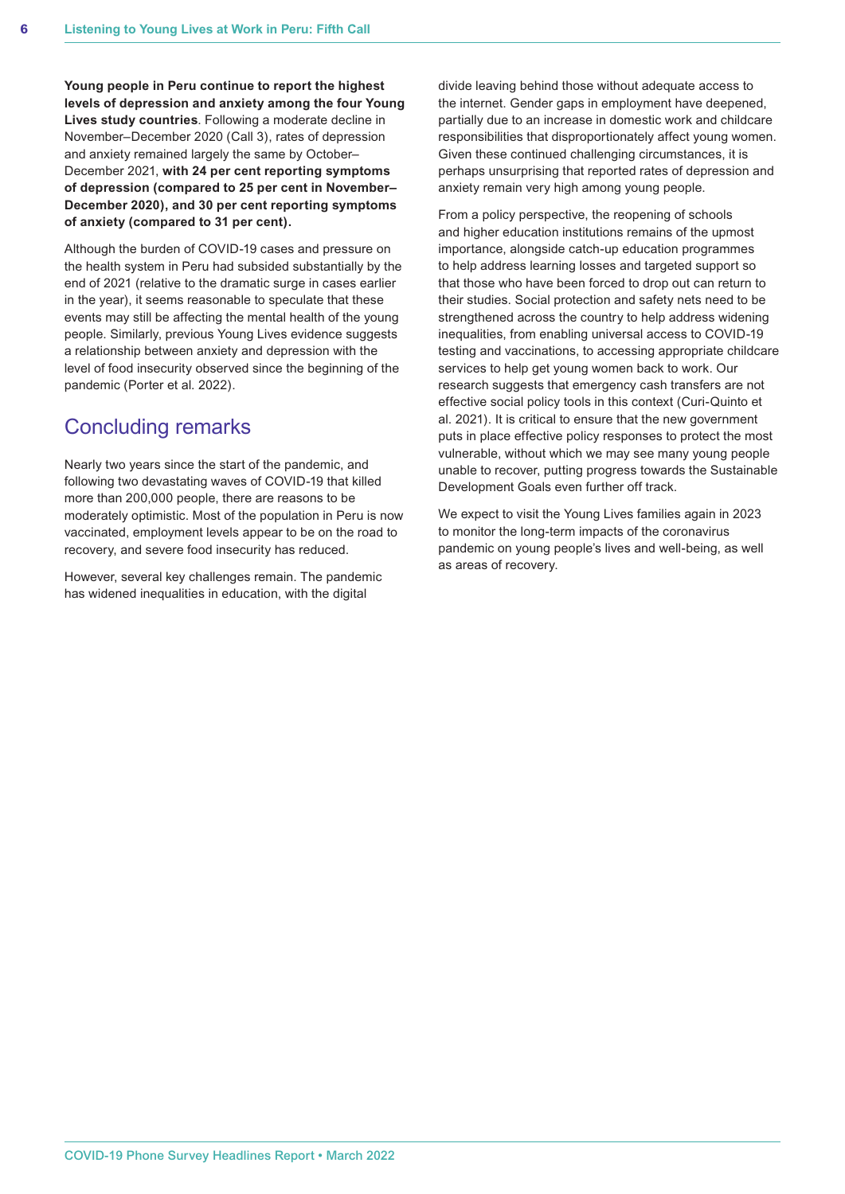**Young people in Peru continue to report the highest levels of depression and anxiety among the four Young Lives study countries**. Following a moderate decline in November–December 2020 (Call 3), rates of depression and anxiety remained largely the same by October– December 2021, **with 24 per cent reporting symptoms of depression (compared to 25 per cent in November– December 2020), and 30 per cent reporting symptoms of anxiety (compared to 31 per cent).** 

Although the burden of COVID-19 cases and pressure on the health system in Peru had subsided substantially by the end of 2021 (relative to the dramatic surge in cases earlier in the year), it seems reasonable to speculate that these events may still be affecting the mental health of the young people. Similarly, previous Young Lives evidence suggests a relationship between anxiety and depression with the level of food insecurity observed since the beginning of the pandemic (Porter et al. 2022).

## Concluding remarks

Nearly two years since the start of the pandemic, and following two devastating waves of COVID-19 that killed more than 200,000 people, there are reasons to be moderately optimistic. Most of the population in Peru is now vaccinated, employment levels appear to be on the road to recovery, and severe food insecurity has reduced.

However, several key challenges remain. The pandemic has widened inequalities in education, with the digital

divide leaving behind those without adequate access to the internet. Gender gaps in employment have deepened, partially due to an increase in domestic work and childcare responsibilities that disproportionately affect young women. Given these continued challenging circumstances, it is perhaps unsurprising that reported rates of depression and anxiety remain very high among young people.

From a policy perspective, the reopening of schools and higher education institutions remains of the upmost importance, alongside catch-up education programmes to help address learning losses and targeted support so that those who have been forced to drop out can return to their studies. Social protection and safety nets need to be strengthened across the country to help address widening inequalities, from enabling universal access to COVID-19 testing and vaccinations, to accessing appropriate childcare services to help get young women back to work. Our research suggests that emergency cash transfers are not effective social policy tools in this context (Curi-Quinto et al. 2021). It is critical to ensure that the new government puts in place effective policy responses to protect the most vulnerable, without which we may see many young people unable to recover, putting progress towards the Sustainable Development Goals even further off track.

We expect to visit the Young Lives families again in 2023 to monitor the long-term impacts of the coronavirus pandemic on young people's lives and well-being, as well as areas of recovery.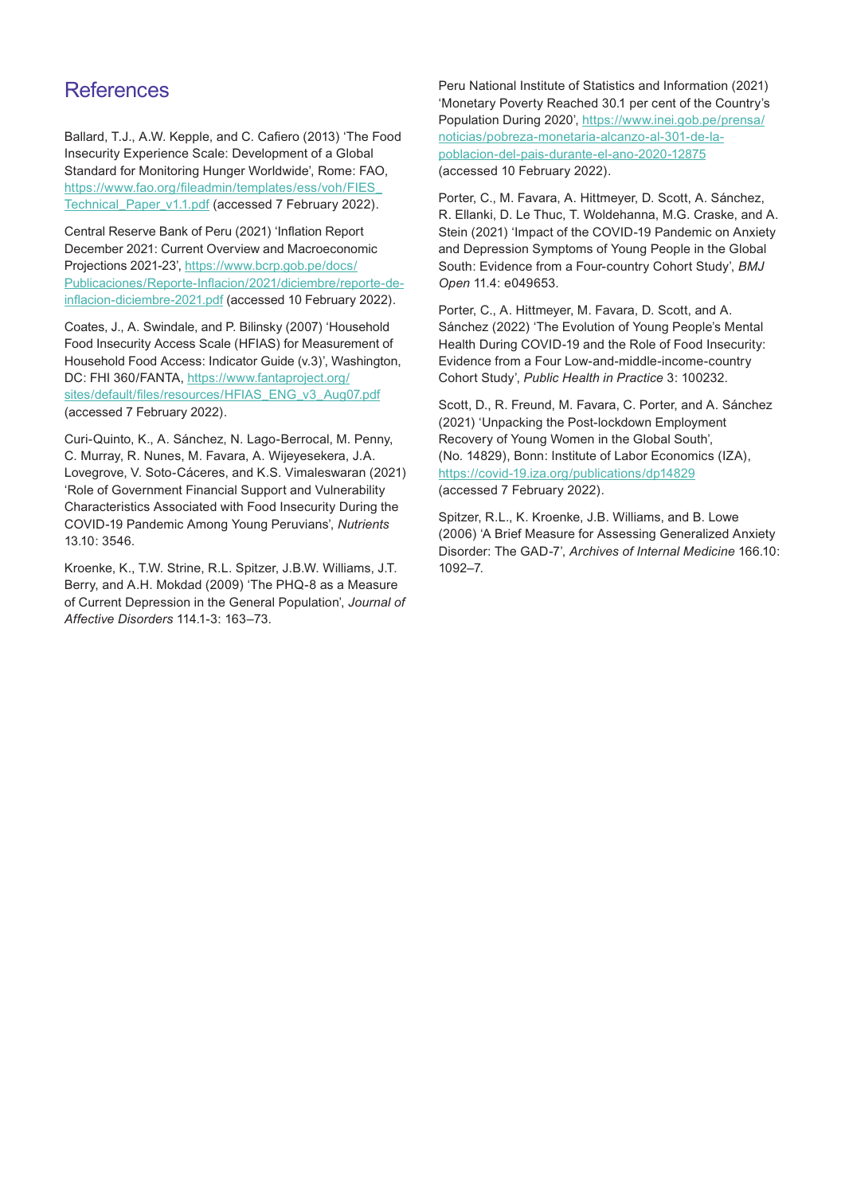## **References**

Ballard, T.J., A.W. Kepple, and C. Cafiero (2013) 'The Food Insecurity Experience Scale: Development of a Global Standard for Monitoring Hunger Worldwide', Rome: FAO, [https://www.fao.org/fileadmin/templates/ess/voh/FIES\\_](https://www.fao.org/fileadmin/templates/ess/voh/FIES_Technical_Paper_v1.1.pdf) [Technical\\_Paper\\_v1.1.pdf](https://www.fao.org/fileadmin/templates/ess/voh/FIES_Technical_Paper_v1.1.pdf) (accessed 7 February 2022).

Central Reserve Bank of Peru (2021) 'Inflation Report December 2021: Current Overview and Macroeconomic Projections 2021-23', [https://www.bcrp.gob.pe/docs/](https://www.bcrp.gob.pe/docs/Publicaciones/Reporte-Inflacion/2021/diciembre/reporte-de-inflacion-diciembre-2021.pdf) [Publicaciones/Reporte-Inflacion/2021/diciembre/reporte-de](https://www.bcrp.gob.pe/docs/Publicaciones/Reporte-Inflacion/2021/diciembre/reporte-de-inflacion-diciembre-2021.pdf)[inflacion-diciembre-2021.pdf](https://www.bcrp.gob.pe/docs/Publicaciones/Reporte-Inflacion/2021/diciembre/reporte-de-inflacion-diciembre-2021.pdf) (accessed 10 February 2022).

Coates, J., A. Swindale, and P. Bilinsky (2007) 'Household Food Insecurity Access Scale (HFIAS) for Measurement of Household Food Access: Indicator Guide (v.3)', Washington, DC: FHI 360/FANTA, [https://www.fantaproject.org/](https://www.fantaproject.org/sites/default/files/resources/HFIAS_ENG_v3_Aug07.pdf) [sites/default/files/resources/HFIAS\\_ENG\\_v3\\_Aug07.pdf](https://www.fantaproject.org/sites/default/files/resources/HFIAS_ENG_v3_Aug07.pdf) (accessed 7 February 2022).

Curi-Quinto, K., A. Sánchez, N. Lago-Berrocal, M. Penny, C. Murray, R. Nunes, M. Favara, A. Wijeyesekera, J.A. Lovegrove, V. Soto-Cáceres, and K.S. Vimaleswaran (2021) 'Role of Government Financial Support and Vulnerability Characteristics Associated with Food Insecurity During the COVID-19 Pandemic Among Young Peruvians', *Nutrients* 13.10: 3546.

Kroenke, K., T.W. Strine, R.L. Spitzer, J.B.W. Williams, J.T. Berry, and A.H. Mokdad (2009) 'The PHQ-8 as a Measure of Current Depression in the General Population', *Journal of Affective Disorders* 114.1-3: 163–73.

Peru National Institute of Statistics and Information (2021) 'Monetary Poverty Reached 30.1 per cent of the Country's Population During 2020', [https://www.inei.gob.pe/prensa/](https://www.inei.gob.pe/prensa/noticias/pobreza-monetaria-alcanzo-al-301-de-la-poblacion-del-pais-durante-el-ano-2020-12875) [noticias/pobreza-monetaria-alcanzo-al-301-de-la](https://www.inei.gob.pe/prensa/noticias/pobreza-monetaria-alcanzo-al-301-de-la-poblacion-del-pais-durante-el-ano-2020-12875)[poblacion-del-pais-durante-el-ano-2020-12875](https://www.inei.gob.pe/prensa/noticias/pobreza-monetaria-alcanzo-al-301-de-la-poblacion-del-pais-durante-el-ano-2020-12875) (accessed 10 February 2022).

Porter, C., M. Favara, A. Hittmeyer, D. Scott, A. Sánchez, R. Ellanki, D. Le Thuc, T. Woldehanna, M.G. Craske, and A. Stein (2021) 'Impact of the COVID-19 Pandemic on Anxiety and Depression Symptoms of Young People in the Global South: Evidence from a Four-country Cohort Study', *BMJ Open* 11.4: e049653.

Porter, C., A. Hittmeyer, M. Favara, D. Scott, and A. Sánchez (2022) 'The Evolution of Young People's Mental Health During COVID-19 and the Role of Food Insecurity: Evidence from a Four Low-and-middle-income-country Cohort Study', *Public Health in Practice* 3: 100232.

Scott, D., R. Freund, M. Favara, C. Porter, and A. Sánchez (2021) 'Unpacking the Post-lockdown Employment Recovery of Young Women in the Global South', (No. 14829), Bonn: Institute of Labor Economics (IZA), <https://covid-19.iza.org/publications/dp14829> (accessed 7 February 2022).

Spitzer, R.L., K. Kroenke, J.B. Williams, and B. Lowe (2006) 'A Brief Measure for Assessing Generalized Anxiety Disorder: The GAD-7', *Archives of Internal Medicine* 166.10: 1092–7.